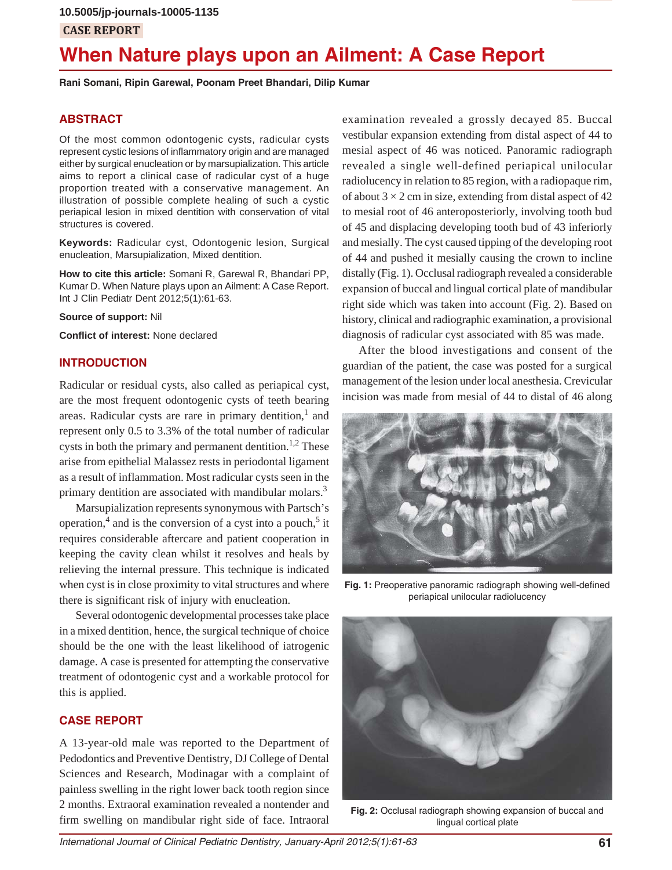## **CASE REPORT**

# **When Nature plays upon an Ailment: A Case Report**

**Rani Somani, Ripin Garewal, Poonam Preet Bhandari, Dilip Kumar**

#### **ABSTRACT**

Of the most common odontogenic cysts, radicular cysts represent cystic lesions of inflammatory origin and are managed either by surgical enucleation or by marsupialization. This article aims to report a clinical case of radicular cyst of a huge proportion treated with a conservative management. An illustration of possible complete healing of such a cystic periapical lesion in mixed dentition with conservation of vital structures is covered.

**Keywords:** Radicular cyst, Odontogenic lesion, Surgical enucleation, Marsupialization, Mixed dentition.

**How to cite this article:** Somani R, Garewal R, Bhandari PP, Kumar D. When Nature plays upon an Ailment: A Case Report. Int J Clin Pediatr Dent 2012;5(1):61-63.

**Source of support:** Nil

**Conflict of interest:** None declared

#### **INTRODUCTION**

Radicular or residual cysts, also called as periapical cyst, are the most frequent odontogenic cysts of teeth bearing areas. Radicular cysts are rare in primary dentition,<sup>1</sup> and represent only 0.5 to 3.3% of the total number of radicular cysts in both the primary and permanent dentition.<sup>1,2</sup> These arise from epithelial Malassez rests in periodontal ligament as a result of inflammation. Most radicular cysts seen in the primary dentition are associated with mandibular molars.<sup>3</sup>

Marsupialization represents synonymous with Partsch's operation,<sup>4</sup> and is the conversion of a cyst into a pouch,<sup>5</sup> it requires considerable aftercare and patient cooperation in keeping the cavity clean whilst it resolves and heals by relieving the internal pressure. This technique is indicated when cyst is in close proximity to vital structures and where there is significant risk of injury with enucleation.

Several odontogenic developmental processes take place in a mixed dentition, hence, the surgical technique of choice should be the one with the least likelihood of iatrogenic damage. A case is presented for attempting the conservative treatment of odontogenic cyst and a workable protocol for this is applied.

#### **CASE REPORT**

A 13-year-old male was reported to the Department of Pedodontics and Preventive Dentistry, DJ College of Dental Sciences and Research, Modinagar with a complaint of painless swelling in the right lower back tooth region since 2 months. Extraoral examination revealed a nontender and firm swelling on mandibular right side of face. Intraoral

examination revealed a grossly decayed 85. Buccal vestibular expansion extending from distal aspect of 44 to mesial aspect of 46 was noticed. Panoramic radiograph revealed a single well-defined periapical unilocular radiolucency in relation to 85 region, with a radiopaque rim, of about  $3 \times 2$  cm in size, extending from distal aspect of 42 to mesial root of 46 anteroposteriorly, involving tooth bud of 45 and displacing developing tooth bud of 43 inferiorly and mesially. The cyst caused tipping of the developing root of 44 and pushed it mesially causing the crown to incline distally (Fig. 1). Occlusal radiograph revealed a considerable expansion of buccal and lingual cortical plate of mandibular right side which was taken into account (Fig. 2). Based on history, clinical and radiographic examination, a provisional diagnosis of radicular cyst associated with 85 was made.

After the blood investigations and consent of the guardian of the patient, the case was posted for a surgical management of the lesion under local anesthesia. Crevicular incision was made from mesial of 44 to distal of 46 along



**Fig. 1:** Preoperative panoramic radiograph showing well-defined periapical unilocular radiolucency



**Fig. 2:** Occlusal radiograph showing expansion of buccal and lingual cortical plate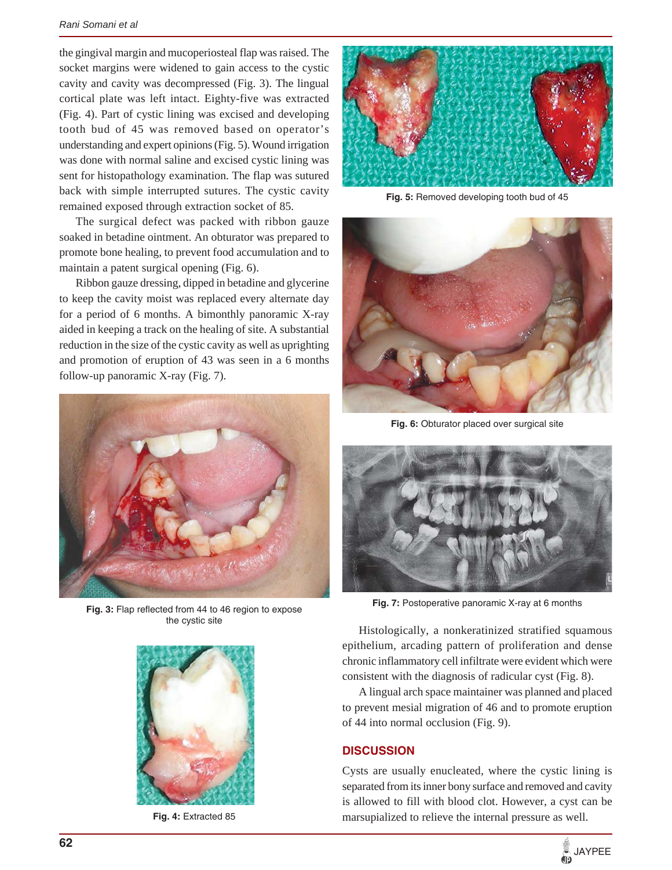the gingival margin and mucoperiosteal flap was raised. The socket margins were widened to gain access to the cystic cavity and cavity was decompressed (Fig. 3). The lingual cortical plate was left intact. Eighty-five was extracted (Fig. 4). Part of cystic lining was excised and developing tooth bud of 45 was removed based on operator's understanding and expert opinions (Fig. 5). Wound irrigation was done with normal saline and excised cystic lining was sent for histopathology examination. The flap was sutured back with simple interrupted sutures. The cystic cavity remained exposed through extraction socket of 85.

The surgical defect was packed with ribbon gauze soaked in betadine ointment. An obturator was prepared to promote bone healing, to prevent food accumulation and to maintain a patent surgical opening (Fig. 6).

Ribbon gauze dressing, dipped in betadine and glycerine to keep the cavity moist was replaced every alternate day for a period of 6 months. A bimonthly panoramic X-ray aided in keeping a track on the healing of site. A substantial reduction in the size of the cystic cavity as well as uprighting and promotion of eruption of 43 was seen in a 6 months follow-up panoramic X-ray (Fig. 7).



**Fig. 3:** Flap reflected from 44 to 46 region to expose the cystic site



**Fig. 4:** Extracted 85



**Fig. 5:** Removed developing tooth bud of 45



**Fig. 6:** Obturator placed over surgical site



**Fig. 7:** Postoperative panoramic X-ray at 6 months

Histologically, a nonkeratinized stratified squamous epithelium, arcading pattern of proliferation and dense chronic inflammatory cell infiltrate were evident which were consistent with the diagnosis of radicular cyst (Fig. 8).

A lingual arch space maintainer was planned and placed to prevent mesial migration of 46 and to promote eruption of 44 into normal occlusion (Fig. 9).

#### **DISCUSSION**

Cysts are usually enucleated, where the cystic lining is separated from its inner bony surface and removed and cavity is allowed to fill with blood clot. However, a cyst can be marsupialized to relieve the internal pressure as well.